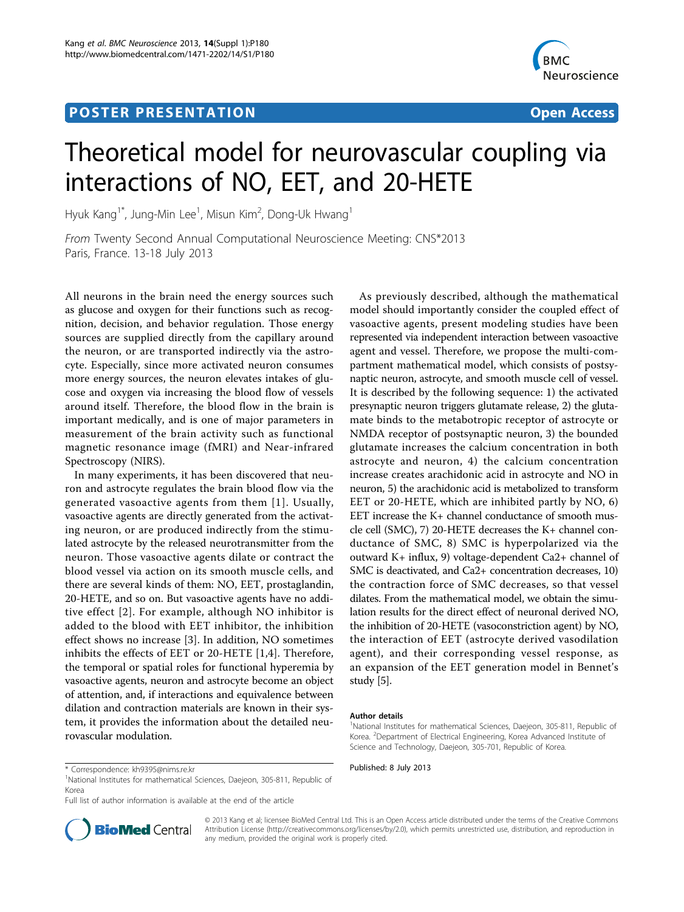# **POSTER PRESENTATION CONSUMING THE SERVICE SERVICE SERVICES**



# Theoretical model for neurovascular coupling via interactions of NO, EET, and 20-HETE

Hyuk Kang $^{\text{1*}}$ , Jung-Min Lee $^{\text{1}}$ , Misun Kim $^{\text{2}}$ , Dong-Uk Hwang $^{\text{1}}$ 

From Twenty Second Annual Computational Neuroscience Meeting: CNS\*2013 Paris, France. 13-18 July 2013

All neurons in the brain need the energy sources such as glucose and oxygen for their functions such as recognition, decision, and behavior regulation. Those energy sources are supplied directly from the capillary around the neuron, or are transported indirectly via the astrocyte. Especially, since more activated neuron consumes more energy sources, the neuron elevates intakes of glucose and oxygen via increasing the blood flow of vessels around itself. Therefore, the blood flow in the brain is important medically, and is one of major parameters in measurement of the brain activity such as functional magnetic resonance image (fMRI) and Near-infrared Spectroscopy (NIRS).

In many experiments, it has been discovered that neuron and astrocyte regulates the brain blood flow via the generated vasoactive agents from them [[1](#page-1-0)]. Usually, vasoactive agents are directly generated from the activating neuron, or are produced indirectly from the stimulated astrocyte by the released neurotransmitter from the neuron. Those vasoactive agents dilate or contract the blood vessel via action on its smooth muscle cells, and there are several kinds of them: NO, EET, prostaglandin, 20-HETE, and so on. But vasoactive agents have no additive effect [[2\]](#page-1-0). For example, although NO inhibitor is added to the blood with EET inhibitor, the inhibition effect shows no increase [[3\]](#page-1-0). In addition, NO sometimes inhibits the effects of EET or 20-HETE [[1,4\]](#page-1-0). Therefore, the temporal or spatial roles for functional hyperemia by vasoactive agents, neuron and astrocyte become an object of attention, and, if interactions and equivalence between dilation and contraction materials are known in their system, it provides the information about the detailed neurovascular modulation.

As previously described, although the mathematical model should importantly consider the coupled effect of vasoactive agents, present modeling studies have been represented via independent interaction between vasoactive agent and vessel. Therefore, we propose the multi-compartment mathematical model, which consists of postsynaptic neuron, astrocyte, and smooth muscle cell of vessel. It is described by the following sequence: 1) the activated presynaptic neuron triggers glutamate release, 2) the glutamate binds to the metabotropic receptor of astrocyte or NMDA receptor of postsynaptic neuron, 3) the bounded glutamate increases the calcium concentration in both astrocyte and neuron, 4) the calcium concentration increase creates arachidonic acid in astrocyte and NO in neuron, 5) the arachidonic acid is metabolized to transform EET or 20-HETE, which are inhibited partly by NO, 6) EET increase the K+ channel conductance of smooth muscle cell (SMC), 7) 20-HETE decreases the K+ channel conductance of SMC, 8) SMC is hyperpolarized via the outward K+ influx, 9) voltage-dependent Ca2+ channel of SMC is deactivated, and Ca2+ concentration decreases, 10) the contraction force of SMC decreases, so that vessel dilates. From the mathematical model, we obtain the simulation results for the direct effect of neuronal derived NO, the inhibition of 20-HETE (vasoconstriction agent) by NO, the interaction of EET (astrocyte derived vasodilation agent), and their corresponding vessel response, as an expansion of the EET generation model in Bennet's study [\[5](#page-1-0)].

### Author details

Full list of author information is available at the end of the article



© 2013 Kang et al; licensee BioMed Central Ltd. This is an Open Access article distributed under the terms of the Creative Commons Attribution License [\(http://creativecommons.org/licenses/by/2.0](http://creativecommons.org/licenses/by/2.0)), which permits unrestricted use, distribution, and reproduction in any medium, provided the original work is properly cited.

<sup>&</sup>lt;sup>1</sup>National Institutes for mathematical Sciences, Daejeon, 305-811, Republic of Korea. <sup>2</sup> Department of Electrical Engineering, Korea Advanced Institute of Science and Technology, Daejeon, 305-701, Republic of Korea.

<sup>\*</sup> Correspondence: [kh9395@nims.re.kr](mailto:kh9395@nims.re.kr) Published: 8 July 2013 <sup>1</sup> National Institutes for mathematical Sciences, Daejeon, 305-811, Republic of Korea